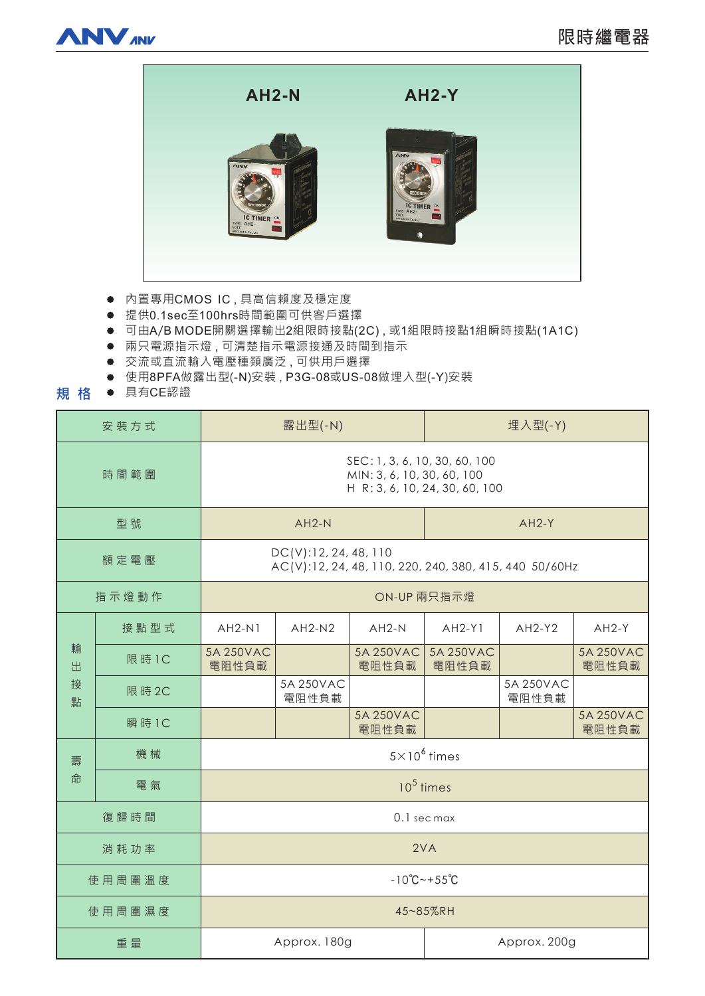



- 内置專用CMOS IC,具高信賴度及穩定度
- 提供0.1sec至100hrs時間範圍可供客戶選擇
- 可由A/B MODE開關選擇輸出2組限時接點(2C), 或1組限時接點1組瞬時接點(1A1C)
- 兩只電源指示燈,可清楚指示電源接通及時間到指示
- 交流或直流輸入電壓種類廣泛,可供用戶選擇
- 使用8PFA做露出型(-N)安裝, P3G-08或US-08做埋入型(-Y)安裝
- 規格 具有CE認證

| 安装方式             |        | 露出型(-N)                                                                                       |                    |                    | 埋入型(-Y)            |                    |                    |
|------------------|--------|-----------------------------------------------------------------------------------------------|--------------------|--------------------|--------------------|--------------------|--------------------|
| 時間範圍             |        | SEC: 1, 3, 6, 10, 30, 60, 100<br>MIN: 3, 6, 10, 30, 60, 100<br>H R: 3, 6, 10, 24, 30, 60, 100 |                    |                    |                    |                    |                    |
| 型號               |        |                                                                                               | $AH2-N$            |                    | $AH2-Y$            |                    |                    |
| 額定電壓             |        | DC(V):12, 24, 48, 110<br>AC(V):12, 24, 48, 110, 220, 240, 380, 415, 440 50/60Hz               |                    |                    |                    |                    |                    |
| 指示燈動作            |        | ON-UP 兩只指示燈                                                                                   |                    |                    |                    |                    |                    |
| 輸<br>出<br>接<br>點 | 接點型式   | $AH2-N1$                                                                                      | $AH2-N2$           | $AH2-N$            | $AH2-Y1$           | $AH2-Y2$           | $AH2-Y$            |
|                  | 限 時 1C | 5A 250VAC<br>電阻性負載                                                                            |                    | 5A 250VAC<br>電阻性負載 | 5A 250VAC<br>電阻性負載 |                    | 5A 250VAC<br>電阻性負載 |
|                  | 限 時 2C |                                                                                               | 5A 250VAC<br>電阻性負載 |                    |                    | 5A 250VAC<br>電阻性負載 |                    |
|                  | 瞬 時 1C |                                                                                               |                    | 5A 250VAC<br>電阻性負載 |                    |                    | 5A 250VAC<br>電阻性負載 |
| 壽<br>命           | 機械     | $5 \times 10^6$ times                                                                         |                    |                    |                    |                    |                    |
|                  | 電氣     | $10^5$ times                                                                                  |                    |                    |                    |                    |                    |
| 復歸時間             |        | 0.1 sec max                                                                                   |                    |                    |                    |                    |                    |
| 消耗功率             |        | 2VA                                                                                           |                    |                    |                    |                    |                    |
| 使用周圍溫度           |        | $-10^{\circ}C - +55^{\circ}C$                                                                 |                    |                    |                    |                    |                    |
| 使用周圍濕度           |        | 45~85%RH                                                                                      |                    |                    |                    |                    |                    |
| 重量               |        | Approx. 180g                                                                                  |                    |                    | Approx. 200g       |                    |                    |